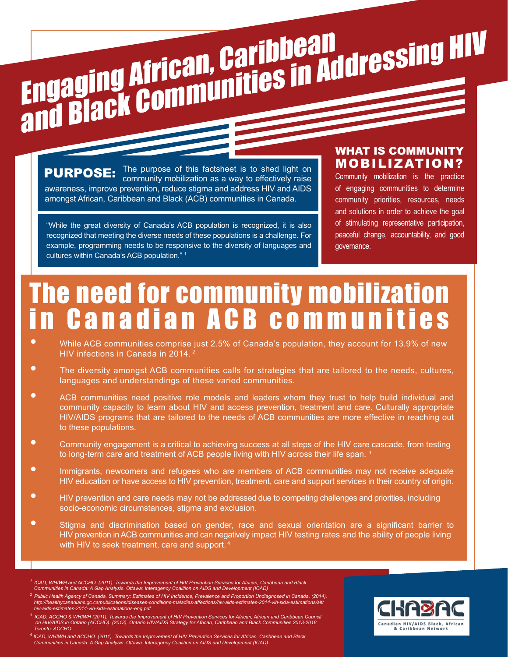

The purpose of this factsheet is to shed light on **PURPOSE:** community mobilization as a way to effectively raise awareness, improve prevention, reduce stigma and address HIV and AIDS amongst African, Caribbean and Black (ACB) communities in Canada.

"While the great diversity of Canada's ACB population is recognized, it is also recognized that meeting the diverse needs of these populations is a challenge. For example, programming needs to be responsive to the diversity of languages and cultures within Canada's ACB population." 1

#### WHAT IS COMMUNITY MOBILIZATION?

Community mobilization is the practice of engaging communities to determine community priorities, resources, needs and solutions in order to achieve the goal of stimulating representative participation, peaceful change, accountability, and good governance.

### The need for community mobilization in Canadian ACB communities

- While ACB communities comprise just 2.5% of Canada's population, they account for 13.9% of new HIV infections in Canada in 2014. 2
- The diversity amongst ACB communities calls for strategies that are tailored to the needs, cultures, languages and understandings of these varied communities.
- ACB communities need positive role models and leaders whom they trust to help build individual and community capacity to learn about HIV and access prevention, treatment and care. Culturally appropriate HIV/AIDS programs that are tailored to the needs of ACB communities are more effective in reaching out to these populations.
- Community engagement is a critical to achieving success at all steps of the HIV care cascade, from testing to long-term care and treatment of ACB people living with HIV across their life span.<sup>3</sup>
- Immigrants, newcomers and refugees who are members of ACB communities may not receive adequate HIV education or have access to HIV prevention, treatment, care and support services in their country of origin.
- HIV prevention and care needs may not be addressed due to competing challenges and priorities, including socio-economic circumstances, stigma and exclusion.
- Stigma and discrimination based on gender, race and sexual orientation are a significant barrier to HIV prevention in ACB communities and can negatively impact HIV testing rates and the ability of people living with HIV to seek treatment, care and support.<sup>4</sup>
- *1 ICAD, WHIWH and ACCHO. (2011). Towards the Improvement of HIV Prevention Services for African, Caribbean and Black Communities in Canada: A Gap Analysis. Ottawa: Interagency Coalition on AIDS and Development (ICAD)*
- <sup>2</sup> Public Health Agency of Canada. Summary: Estimates of HIV Incidence, Prevalence and Proportion Undiagnosed in Canada, (2014).<br>http://healthycanadians.gc.ca/publications/diseases-conditions-maladies-affections/hiv-aids *hiv-aids-estimates-2014-vih-sida-estimations-eng.pdf*
- <sup>3</sup> ICAD, ACCHO & WHIWH (2011), Towards the Improvement of HIV Prevention Services for African, African and Caribbean Council<br>613-2013 on HIV/AIDS in Ontario (ACCHO). (2013). Ontario HIV/AIDS Strategy for African, Caribbea  *Toronto: ACCHO.*

<sup>4</sup> ICAD, WHIWH and ACCHO. (2011). Towards the Improvement of HIV Prevention Services for African, Caribbean and Black<br>Communities in Canada: A Gap Analysis. Ottawa: Interagency Coalition on AIDS and Development (ICAD).

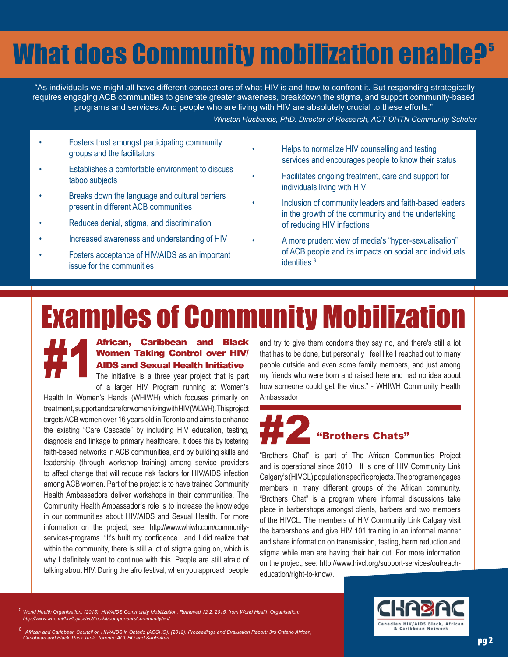### **What does Community mobilization enable?**<sup>5</sup>

 "As individuals we might all have different conceptions of what HIV is and how to confront it. But responding strategically requires engaging ACB communities to generate greater awareness, breakdown the stigma, and support community-based programs and services. And people who are living with HIV are absolutely crucial to these efforts." *Winston Husbands, PhD. Director of Research, ACT OHTN Community Scholar*

• Fosters trust amongst participating community groups and the facilitators

- Establishes a comfortable environment to discuss taboo subjects
- Breaks down the language and cultural barriers present in different ACB communities
- Reduces denial, stigma, and discrimination
- Increased awareness and understanding of HIV
- Fosters acceptance of HIV/AIDS as an important issue for the communities
- Helps to normalize HIV counselling and testing services and encourages people to know their status
- Facilitates ongoing treatment, care and support for individuals living with HIV
- Inclusion of community leaders and faith-based leaders in the growth of the community and the undertaking of reducing HIV infections
- A more prudent view of media's "hyper-sexualisation" of ACB people and its impacts on social and individuals identities<sup>6</sup>

## Examples of Community Mobilization



#### African, Caribbean and Black Women Taking Control over HIV/ AIDS and Sexual Health Initiative

The initiative is a three year project that is part of a larger HIV Program running at Women's

Health In Women's Hands (WHIWH) which focuses primarily on treatment, support and care for women living with HIV (WLWH). This project targets ACB women over 16 years old in Toronto and aims to enhance the existing "Care Cascade" by including HIV education, testing, diagnosis and linkage to primary healthcare. It does this by fostering faith-based networks in ACB communities, and by building skills and leadership (through workshop training) among service providers to affect change that will reduce risk factors for HIV/AIDS infection among ACB women. Part of the project is to have trained Community Health Ambassadors deliver workshops in their communities. The Community Health Ambassador's role is to increase the knowledge in our communities about HIV/AIDS and Sexual Health. For more information on the project, see: http://www.whiwh.com/communityservices-programs. "It's built my confidence...and I did realize that within the community, there is still a lot of stigma going on, which is why I definitely want to continue with this. People are still afraid of talking about HIV. During the afro festival, when you approach people

and try to give them condoms they say no, and there's still a lot that has to be done, but personally I feel like I reached out to many people outside and even some family members, and just among my friends who were born and raised here and had no idea about how someone could get the virus." - WHIWH Community Health Ambassador

## "Brothers Chats"

"Brothers Chat" is part of The African Communities Project and is operational since 2010. It is one of HIV Community Link Calgary's (HIVCL) population specific projects. The program engages members in many different groups of the African community. "Brothers Chat" is a program where informal discussions take place in barbershops amongst clients, barbers and two members of the HIVCL. The members of HIV Community Link Calgary visit the barbershops and give HIV 101 training in an informal manner and share information on transmission, testing, harm reduction and stigma while men are having their hair cut. For more information on the project, see: http://www.hivcl.org/support-services/outreacheducation/right-to-know/.

<sup>5</sup>*World Health Organisation. (2015). HIV/AIDS Community Mobilization. Retrieved 12 2, 2015, from World Health Organisation: http://www.who.int/hiv/topics/vct/toolkit/components/community/en/*



6  *African and Caribbean Council on HIV/AIDS in Ontario (ACCHO). (2012). Proceedings and Evaluation Report: 3rd Ontario African, Caribbean and Black Think Tank. Toronto: ACCHO and SanPatten.* **pg 2 and 2 and 2 and 2 and 2 and 2 and 2 and 2 and 2 and 2 and 2 and 2 and 2 and 2 and 2 and 2 and 2 and 2 and 2 and 2 and 2 and 2 and 2 and 2 and 2 and 2 an**